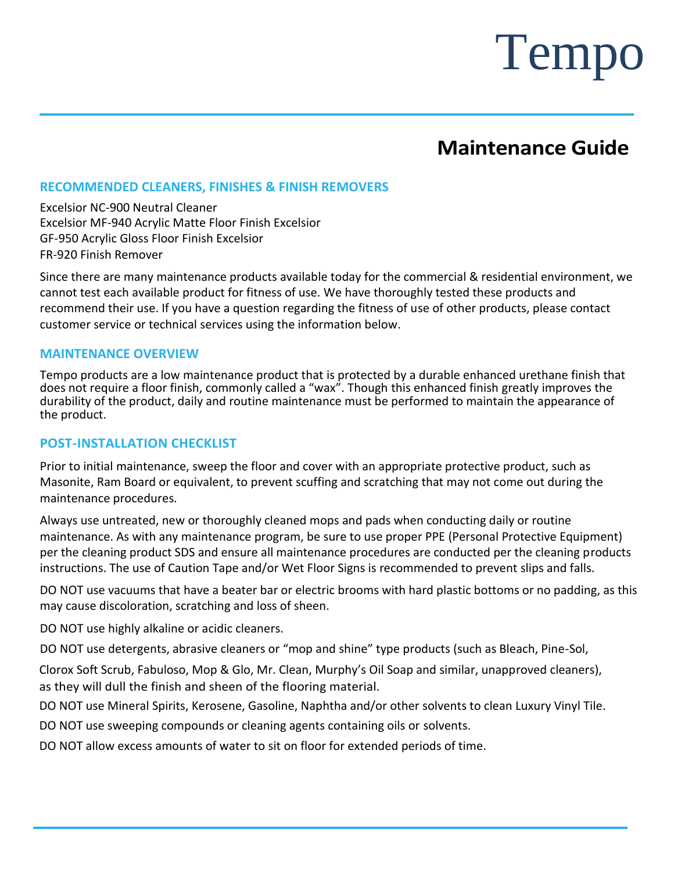## **Maintenance Guide**

#### **RECOMMENDED CLEANERS, FINISHES & FINISH REMOVERS**

Excelsior NC-900 Neutral Cleaner Excelsior MF-940 Acrylic Matte Floor Finish Excelsior GF-950 Acrylic Gloss Floor Finish Excelsior FR-920 Finish Remover

Since there are many maintenance products available today for the commercial & residential environment, we cannot test each available product for fitness of use. We have thoroughly tested these products and recommend their use. If you have a question regarding the fitness of use of other products, please contact customer service or technical services using the information below.

#### **MAINTENANCE OVERVIEW**

Tempo products are a low maintenance product that is protected by a durable enhanced urethane finish that does not require a floor finish, commonly called a "wax". Though this enhanced finish greatly improves the durability of the product, daily and routine maintenance must be performed to maintain the appearance of the product.

#### **POST-INSTALLATION CHECKLIST**

Prior to initial maintenance, sweep the floor and cover with an appropriate protective product, such as Masonite, Ram Board or equivalent, to prevent scuffing and scratching that may not come out during the maintenance procedures.

Always use untreated, new or thoroughly cleaned mops and pads when conducting daily or routine maintenance. As with any maintenance program, be sure to use proper PPE (Personal Protective Equipment) per the cleaning product SDS and ensure all maintenance procedures are conducted per the cleaning products instructions. The use of Caution Tape and/or Wet Floor Signs is recommended to prevent slips and falls.

DO NOT use vacuums that have a beater bar or electric brooms with hard plastic bottoms or no padding, as this may cause discoloration, scratching and loss of sheen.

DO NOT use highly alkaline or acidic cleaners.

DO NOT use detergents, abrasive cleaners or "mop and shine" type products (such as Bleach, Pine-Sol,

Clorox Soft Scrub, Fabuloso, Mop & Glo, Mr. Clean, Murphy's Oil Soap and similar, unapproved cleaners), as they will dull the finish and sheen of the flooring material.

DO NOT use Mineral Spirits, Kerosene, Gasoline, Naphtha and/or other solvents to clean Luxury Vinyl Tile.

DO NOT use sweeping compounds or cleaning agents containing oils or solvents.

DO NOT allow excess amounts of water to sit on floor for extended periods of time.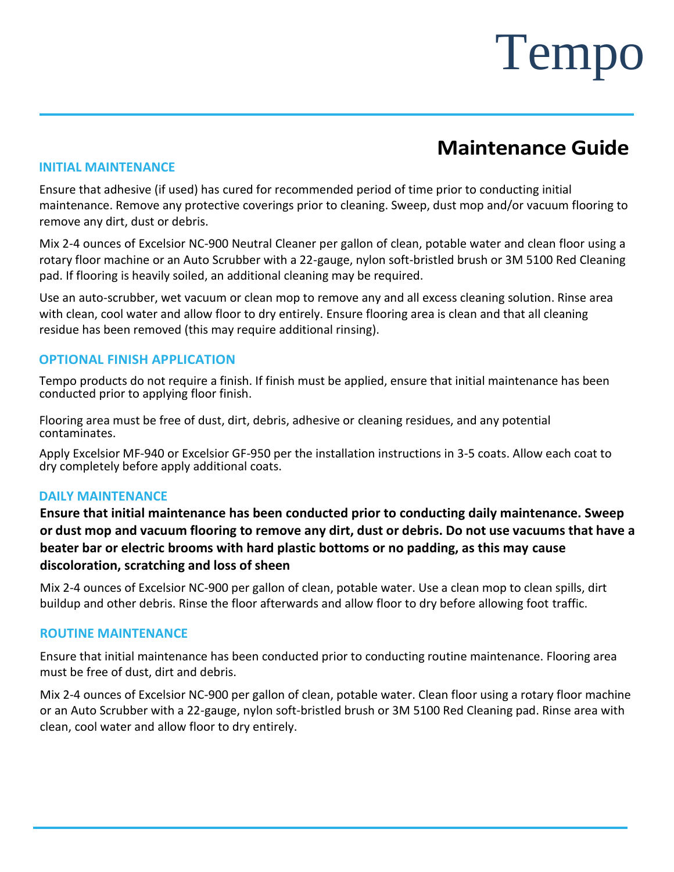### **Maintenance Guide**

#### **INITIAL MAINTENANCE**

Ensure that adhesive (if used) has cured for recommended period of time prior to conducting initial maintenance. Remove any protective coverings prior to cleaning. Sweep, dust mop and/or vacuum flooring to remove any dirt, dust or debris.

Mix 2-4 ounces of Excelsior NC-900 Neutral Cleaner per gallon of clean, potable water and clean floor using a rotary floor machine or an Auto Scrubber with a 22-gauge, nylon soft-bristled brush or 3M 5100 Red Cleaning pad. If flooring is heavily soiled, an additional cleaning may be required.

Use an auto-scrubber, wet vacuum or clean mop to remove any and all excess cleaning solution. Rinse area with clean, cool water and allow floor to dry entirely. Ensure flooring area is clean and that all cleaning residue has been removed (this may require additional rinsing).

#### **OPTIONAL FINISH APPLICATION**

Tempo products do not require a finish. If finish must be applied, ensure that initial maintenance has been conducted prior to applying floor finish.

Flooring area must be free of dust, dirt, debris, adhesive or cleaning residues, and any potential contaminates.

Apply Excelsior MF-940 or Excelsior GF-950 per the installation instructions in 3-5 coats. Allow each coat to dry completely before apply additional coats.

#### **DAILY MAINTENANCE**

**Ensure that initial maintenance has been conducted prior to conducting daily maintenance. Sweep**  or dust mop and vacuum flooring to remove any dirt, dust or debris. Do not use vacuums that have a **beater bar or electric brooms with hard plastic bottoms or no padding, as this may cause discoloration, scratching and loss of sheen**

Mix 2-4 ounces of Excelsior NC-900 per gallon of clean, potable water. Use a clean mop to clean spills, dirt buildup and other debris. Rinse the floor afterwards and allow floor to dry before allowing foot traffic.

#### **ROUTINE MAINTENANCE**

Ensure that initial maintenance has been conducted prior to conducting routine maintenance. Flooring area must be free of dust, dirt and debris.

Mix 2-4 ounces of Excelsior NC-900 per gallon of clean, potable water. Clean floor using a rotary floor machine or an Auto Scrubber with a 22-gauge, nylon soft-bristled brush or 3M 5100 Red Cleaning pad. Rinse area with clean, cool water and allow floor to dry entirely.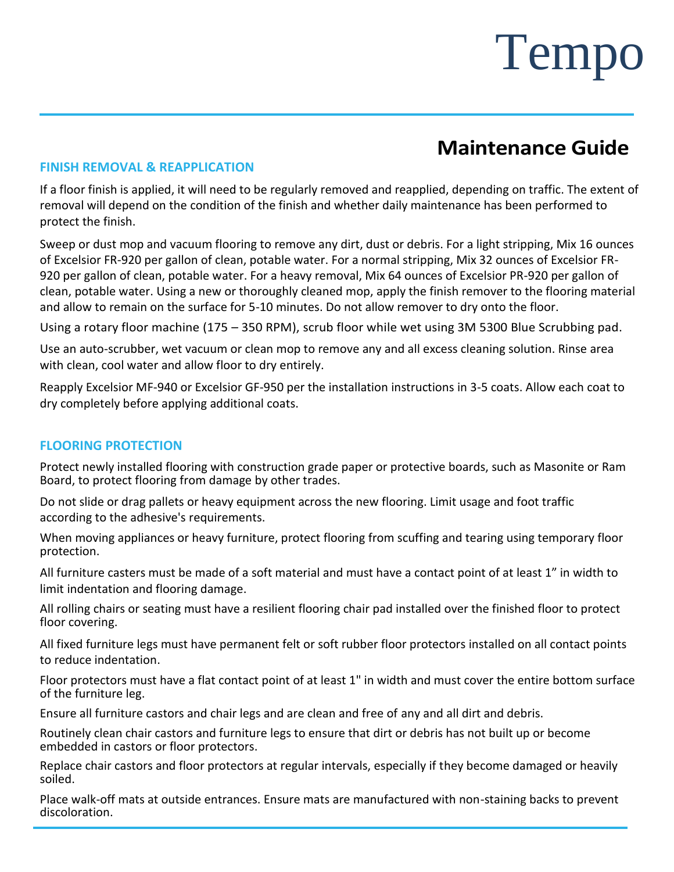### **Maintenance Guide**

#### **FINISH REMOVAL & REAPPLICATION**

If a floor finish is applied, it will need to be regularly removed and reapplied, depending on traffic. The extent of removal will depend on the condition of the finish and whether daily maintenance has been performed to protect the finish.

Sweep or dust mop and vacuum flooring to remove any dirt, dust or debris. For a light stripping, Mix 16 ounces of Excelsior FR-920 per gallon of clean, potable water. For a normal stripping, Mix 32 ounces of Excelsior FR-920 per gallon of clean, potable water. For a heavy removal, Mix 64 ounces of Excelsior PR-920 per gallon of clean, potable water. Using a new or thoroughly cleaned mop, apply the finish remover to the flooring material and allow to remain on the surface for 5-10 minutes. Do not allow remover to dry onto the floor.

Using a rotary floor machine (175 – 350 RPM), scrub floor while wet using 3M 5300 Blue Scrubbing pad.

Use an auto-scrubber, wet vacuum or clean mop to remove any and all excess cleaning solution. Rinse area with clean, cool water and allow floor to dry entirely.

Reapply Excelsior MF-940 or Excelsior GF-950 per the installation instructions in 3-5 coats. Allow each coat to dry completely before applying additional coats.

#### **FLOORING PROTECTION**

Protect newly installed flooring with construction grade paper or protective boards, such as Masonite or Ram Board, to protect flooring from damage by other trades.

Do not slide or drag pallets or heavy equipment across the new flooring. Limit usage and foot traffic according to the adhesive's requirements.

When moving appliances or heavy furniture, protect flooring from scuffing and tearing using temporary floor protection.

All furniture casters must be made of a soft material and must have a contact point of at least 1" in width to limit indentation and flooring damage.

All rolling chairs or seating must have a resilient flooring chair pad installed over the finished floor to protect floor covering.

All fixed furniture legs must have permanent felt or soft rubber floor protectors installed on all contact points to reduce indentation.

Floor protectors must have a flat contact point of at least 1" in width and must cover the entire bottom surface of the furniture leg.

Ensure all furniture castors and chair legs and are clean and free of any and all dirt and debris.

Routinely clean chair castors and furniture legs to ensure that dirt or debris has not built up or become embedded in castors or floor protectors.

Replace chair castors and floor protectors at regular intervals, especially if they become damaged or heavily soiled.

Place walk-off mats at outside entrances. Ensure mats are manufactured with non-staining backs to prevent discoloration.